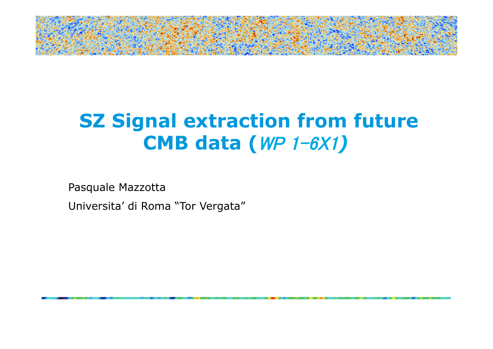

# **SZ Signal extraction from future CMB data (**WP 1-6X1*)*

Pasquale Mazzotta

Universita' di Roma "Tor Vergata"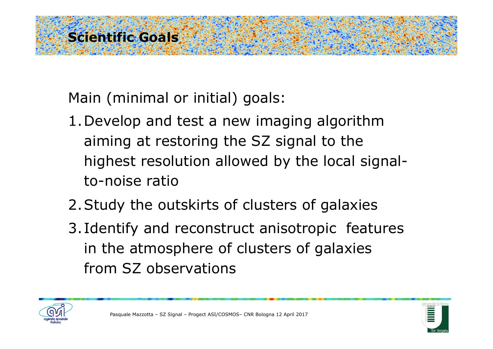## **Scientific Goals**

Main (minimal or initial) goals:

- 1.Develop and test a new imaging algorithm aiming at restoring the SZ signal to the highest resolution allowed by the local signalto-noise ratio
- 2.Study the outskirts of clusters of galaxies
- 3. Identify and reconstruct anisotropic features in the atmosphere of clusters of galaxies from SZ observations



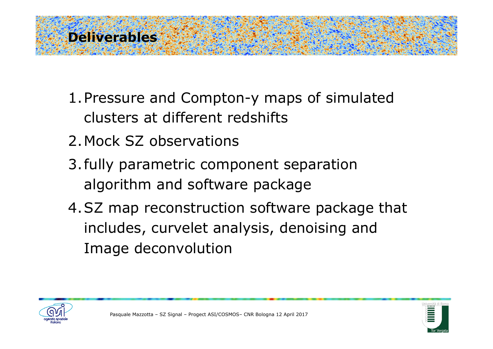#### **Deliverables**

- 1.Pressure and Compton-y maps of simulated clusters at different redshifts
- 2.Mock SZ observations
- 3.fully parametric component separation algorithm and software package
- 4.SZ map reconstruction software package that includes, curvelet analysis, denoising and Image deconvolution



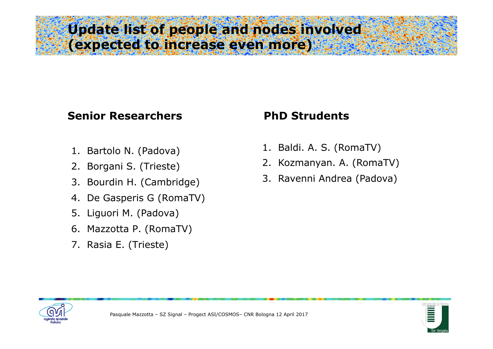#### **Update list of people and nodes involved (expected to increase even more)**

#### **Senior Researchers 6 and PhD Strudents**

- 1. Bartolo N. (Padova)
- 2. Borgani S. (Trieste)
- 3. Bourdin H. (Cambridge)
- 4. De Gasperis G (RomaTV)
- 5. Liguori M. (Padova)
- 6. Mazzotta P. (RomaTV)
- 7. Rasia E. (Trieste)

- 1. Baldi. A. S. (RomaTV)
- 2. Kozmanyan. A. (RomaTV)
- 3. Ravenni Andrea (Padova)



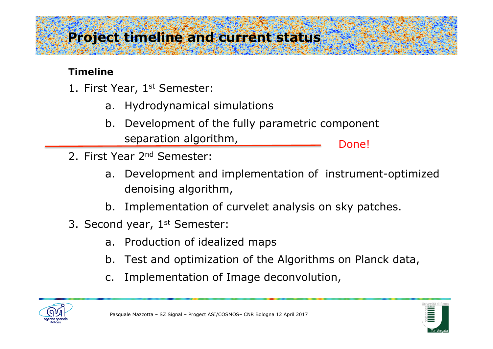# **Project timeline and current status**

#### **Timeline**

- 1. First Year, 1<sup>st</sup> Semester:
	- a. Hydrodynamical simulations
	- b. Development of the fully parametric component separation algorithm, Done!
- 2. First Year 2nd Semester:
	- a. Development and implementation of instrument-optimized denoising algorithm,
	- b. Implementation of curvelet analysis on sky patches.
- 3. Second year, 1<sup>st</sup> Semester:
	- a. Production of idealized maps
	- b. Test and optimization of the Algorithms on Planck data,
	- c. Implementation of Image deconvolution,



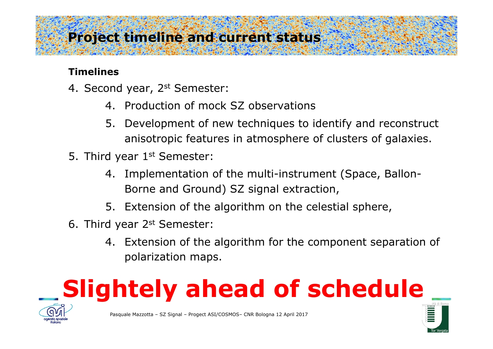## **Project timeline and current status**

#### **Timelines**

- 4. Second year, 2<sup>st</sup> Semester:
	- 4. Production of mock SZ observations
	- 5. Development of new techniques to identify and reconstruct anisotropic features in atmosphere of clusters of galaxies.
- 5. Third year 1<sup>st</sup> Semester:
	- 4. Implementation of the multi-instrument (Space, Ballon-Borne and Ground) SZ signal extraction,
	- 5. Extension of the algorithm on the celestial sphere,
- 6. Third year 2st Semester:
	- 4. Extension of the algorithm for the component separation of polarization maps.

# **Slightely ahead of schedule**